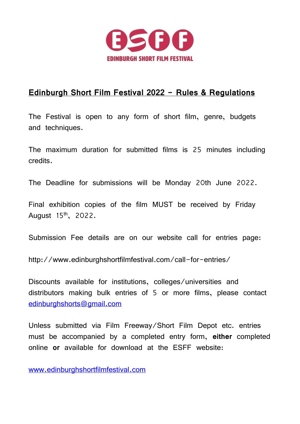

## **Edinburgh Short Film Festival 2022 - Rules & Regulations**

The Festival is open to any form of short film, genre, budgets and techniques.

The maximum duration for submitted films is 25 minutes including credits.

The Deadline for submissions will be Monday 20th June 2022.

Final exhibition copies of the film MUST be received by Friday August 15th, 2022.

Submission Fee details are on our website call for entries page:

http://www.edinburghshortfilmfestival.com/call-for-entries/

Discounts available for institutions, colleges/universities and distributors making bulk entries of 5 or more films, please contact [edinburghshorts@gmail.com](mailto:edinburghshorts@gmail.com)

Unless submitted via Film Freeway/Short Film Depot etc. entries must be accompanied by a completed entry form, **either** completed online **or** available for download at the ESFF website:

[www.edinburghshortfilmfestival.com](http://www.edinburghshortfilmfestival.com/)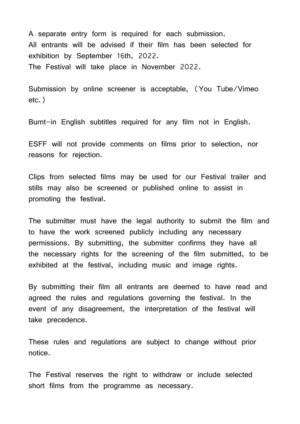A separate entry form is required for each submission. All entrants will be advised if their film has been selected for exhibition by September 16th, 2022. The Festival will take place in November 2022.

Submission by online screener is acceptable, (You Tube/Vimeo etc.)

Burnt-in English subtitles required for any film not in English.

ESFF will not provide comments on films prior to selection, nor reasons for rejection.

Clips from selected films may be used for our Festival trailer and stills may also be screened or published online to assist in promoting the festival.

The submitter must have the legal authority to submit the film and to have the work screened publicly including any necessary permissions. By submitting, the submitter confirms they have all the necessary rights for the screening of the film submitted, to be exhibited at the festival, including music and image rights.

By submitting their film all entrants are deemed to have read and agreed the rules and regulations governing the festival. In the event of any disagreement, the interpretation of the festival will take precedence.

These rules and regulations are subject to change without prior notice.

The Festival reserves the right to withdraw or include selected short films from the programme as necessary.